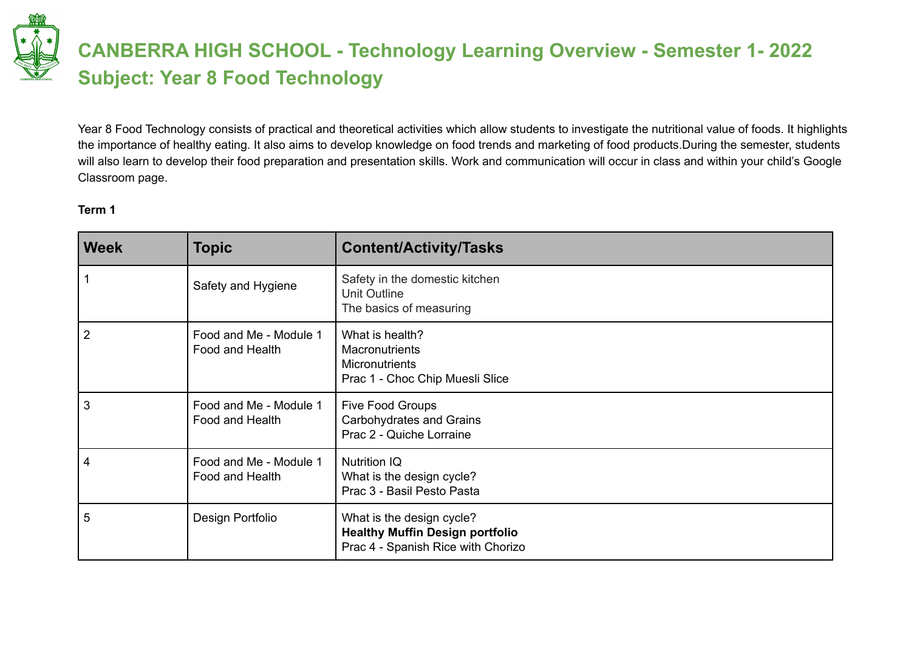# **CANBERRA HIGH SCHOOL - Technology Learning Overview - Semester 1- 2022 Subject: Year 8 Food Technology**

Year 8 Food Technology consists of practical and theoretical activities which allow students to investigate the nutritional value of foods. It highlights the importance of healthy eating. It also aims to develop knowledge on food trends and marketing of food products.During the semester, students will also learn to develop their food preparation and presentation skills. Work and communication will occur in class and within your child's Google Classroom page.

#### **Term 1**

| <b>Week</b>    | <b>Topic</b>                              | <b>Content/Activity/Tasks</b>                                                                             |
|----------------|-------------------------------------------|-----------------------------------------------------------------------------------------------------------|
|                | Safety and Hygiene                        | Safety in the domestic kitchen<br>Unit Outline<br>The basics of measuring                                 |
| $\overline{2}$ | Food and Me - Module 1<br>Food and Health | What is health?<br><b>Macronutrients</b><br><b>Micronutrients</b><br>Prac 1 - Choc Chip Muesli Slice      |
| 3              | Food and Me - Module 1<br>Food and Health | Five Food Groups<br>Carbohydrates and Grains<br>Prac 2 - Quiche Lorraine                                  |
| 4              | Food and Me - Module 1<br>Food and Health | <b>Nutrition IQ</b><br>What is the design cycle?<br>Prac 3 - Basil Pesto Pasta                            |
| 5              | Design Portfolio                          | What is the design cycle?<br><b>Healthy Muffin Design portfolio</b><br>Prac 4 - Spanish Rice with Chorizo |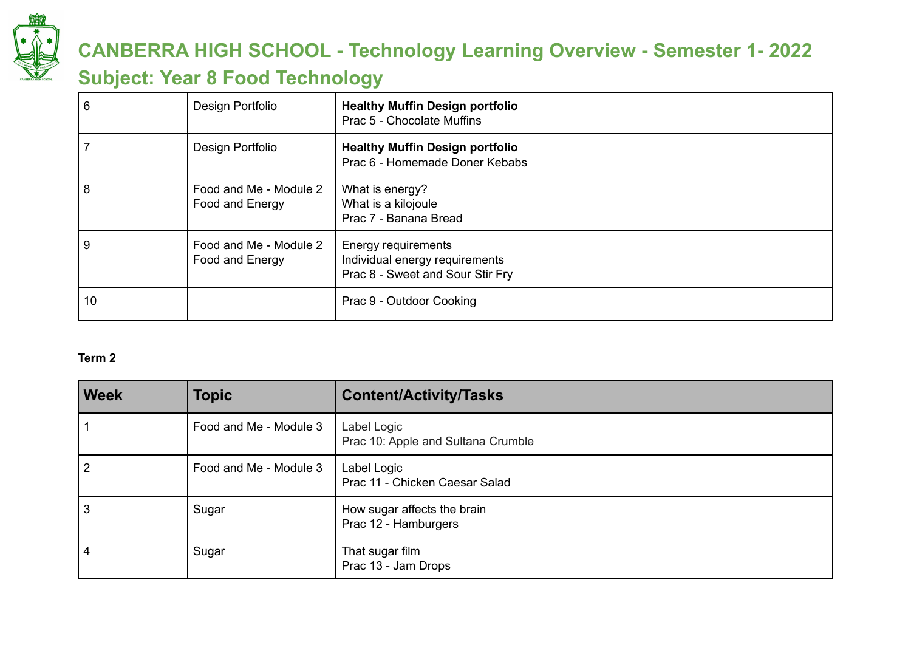

# **CANBERRA HIGH SCHOOL - Technology Learning Overview - Semester 1- 2022**

### **Subject: Year 8 Food Technology**

| 6  | Design Portfolio                          | <b>Healthy Muffin Design portfolio</b><br>Prac 5 - Chocolate Muffins                      |
|----|-------------------------------------------|-------------------------------------------------------------------------------------------|
|    | Design Portfolio                          | <b>Healthy Muffin Design portfolio</b><br>Prac 6 - Homemade Doner Kebabs                  |
| 8  | Food and Me - Module 2<br>Food and Energy | What is energy?<br>What is a kilojoule<br>Prac 7 - Banana Bread                           |
| 9  | Food and Me - Module 2<br>Food and Energy | Energy requirements<br>Individual energy requirements<br>Prac 8 - Sweet and Sour Stir Fry |
| 10 |                                           | Prac 9 - Outdoor Cooking                                                                  |

### **Term 2**

| <b>Week</b>    | <b>Topic</b>           | <b>Content/Activity/Tasks</b>                       |
|----------------|------------------------|-----------------------------------------------------|
|                | Food and Me - Module 3 | Label Logic<br>Prac 10: Apple and Sultana Crumble   |
| 2              | Food and Me - Module 3 | Label Logic<br>Prac 11 - Chicken Caesar Salad       |
| l 3            | Sugar                  | How sugar affects the brain<br>Prac 12 - Hamburgers |
| $\overline{4}$ | Sugar                  | That sugar film<br>Prac 13 - Jam Drops              |